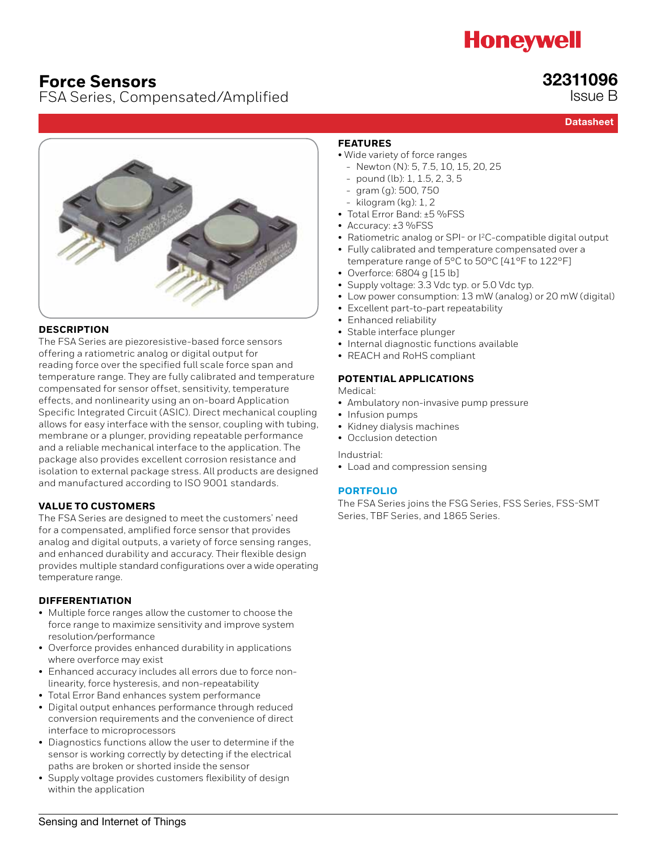# **Honeywell**

## **Force Sensors**

### FSA Series, Compensated/Amplified

### **Datasheet**

32311096 Issue B



#### **DESCRIPTION**

The FSA Series are piezoresistive-based force sensors offering a ratiometric analog or digital output for reading force over the specified full scale force span and temperature range. They are fully calibrated and temperature compensated for sensor offset, sensitivity, temperature effects, and nonlinearity using an on-board Application Specific Integrated Circuit (ASIC). Direct mechanical coupling allows for easy interface with the sensor, coupling with tubing, membrane or a plunger, providing repeatable performance and a reliable mechanical interface to the application. The package also provides excellent corrosion resistance and isolation to external package stress. All products are designed and manufactured according to ISO 9001 standards.

#### **VALUE TO CUSTOMERS**

The FSA Series are designed to meet the customers' need for a compensated, amplified force sensor that provides analog and digital outputs, a variety of force sensing ranges, and enhanced durability and accuracy. Their flexible design provides multiple standard configurations over a wide operating temperature range.

#### **DIFFERENTIATION**

- Multiple force ranges allow the customer to choose the force range to maximize sensitivity and improve system resolution/performance
- Overforce provides enhanced durability in applications where overforce may exist
- Enhanced accuracy includes all errors due to force nonlinearity, force hysteresis, and non-repeatability
- Total Error Band enhances system performance
- Digital output enhances performance through reduced conversion requirements and the convenience of direct interface to microprocessors
- Diagnostics functions allow the user to determine if the sensor is working correctly by detecting if the electrical paths are broken or shorted inside the sensor
- Supply voltage provides customers flexibility of design within the application

### **FEATURES**

- Wide variety of force ranges
	- Newton (N): 5, 7.5, 10, 15, 20, 25
	- pound (lb): 1, 1.5, 2, 3, 5
	- gram (g): 500, 750
	- kilogram (kg): 1, 2
- Total Error Band: ±5 %FSS
- Accuracy: ±3 %FSS
- Ratiometric analog or SPI- or <sup>12</sup>C-compatible digital output
- Fully calibrated and temperature compensated over a temperature range of 5°C to 50°C [41°F to 122°F]
- Overforce: 6804 g [15 lb]
- Supply voltage: 3.3 Vdc typ. or 5.0 Vdc typ.
- Low power consumption: 13 mW (analog) or 20 mW (digital)
- Excellent part-to-part repeatability
- Enhanced reliability
- Stable interface plunger
- Internal diagnostic functions available
- REACH and RoHS compliant

#### **POTENTIAL APPLICATIONS**

Medical:

- Ambulatory non-invasive pump pressure
- Infusion pumps
- Kidney dialysis machines
- Occlusion detection

Industrial:

• Load and compression sensing

#### **[PORTFOLIO](https://sensing.honeywell.com/sensors/force-sensors)**

The FSA Series joins the [FSG Series,](http://sensing.honeywell.com/index.php?ci_id=50136) [FSS Series](http://sensing.honeywell.com/index.php?ci_id=50137), [FSS-SMT](http://sensing.honeywell.com/index.php?ci_id=44994)  [Series](http://sensing.honeywell.com/index.php?ci_id=44994), TB[F Series,](http://sensing.honeywell.com/index.php?ci_id=158416) and [1865 Series](http://sensing.honeywell.com/index.php?ci_id=142423).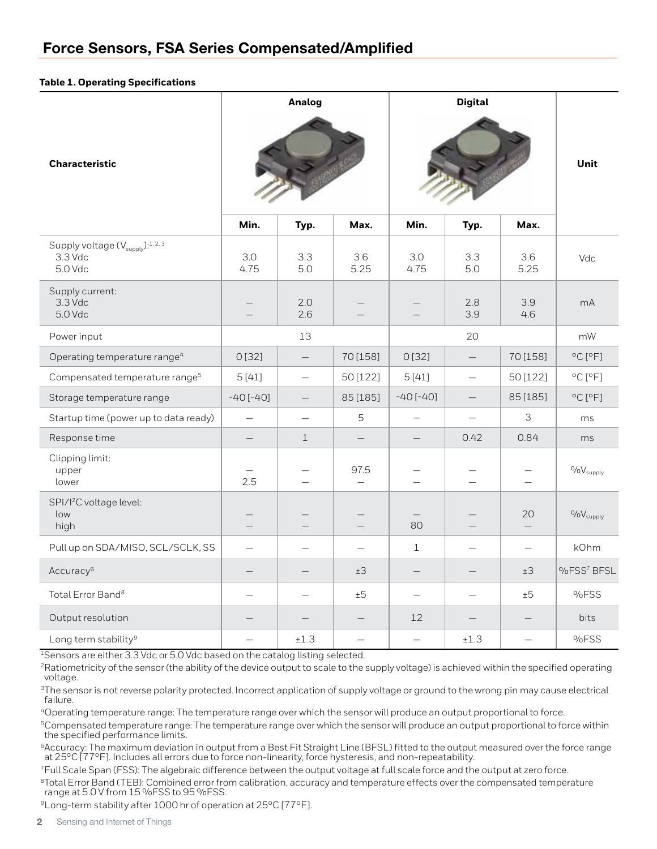**Table 1. Operating Specifications**

|                                                                                | <b>Analog</b>            |                          | <b>Digital</b>                   |                          |                          |                          |                             |
|--------------------------------------------------------------------------------|--------------------------|--------------------------|----------------------------------|--------------------------|--------------------------|--------------------------|-----------------------------|
| <b>Characteristic</b>                                                          |                          |                          |                                  |                          |                          | Unit                     |                             |
|                                                                                | Min.                     | Typ.                     | Max.                             | Min.                     | Typ.                     | Max.                     |                             |
| Supply voltage $(\mathsf{V}_{\mathsf{supply}})^{.1,2,3}$<br>3.3 Vdc<br>5.0 Vdc | 3.0<br>4.75              | 3.3<br>5.0               | 3.6<br>5.25                      | 3.0<br>4.75              | 3.3<br>5.0               | 3.6<br>5.25              | Vdc                         |
| Supply current:<br>3.3 Vdc<br>5.0 Vdc                                          | $\overline{\phantom{0}}$ | 2.0<br>2.6               |                                  |                          | 2.8<br>3.9               | 3.9<br>4.6               | mA                          |
| Power input                                                                    | 13                       |                          |                                  | 20                       |                          |                          | mW                          |
| Operating temperature range <sup>4</sup>                                       | 0[32]                    | $\overline{\phantom{0}}$ | 70 [158]                         | 0[32]                    | $\equiv$                 | 70 [158]                 | $^{\circ}$ C $[^{\circ}$ F] |
| Compensated temperature range <sup>5</sup>                                     | 5[41]                    | $\overline{\phantom{0}}$ | 50 [122]                         | 5[41]                    | $\overline{\phantom{0}}$ | 50 [122]                 | °C[°F]                      |
| Storage temperature range                                                      | $-40$ [ $-40$ ]          | $\qquad \qquad -$        | 85 [185]                         | $-40$ [ $-40$ ]          | $\qquad \qquad -$        | 85 [185]                 | $^{\circ}$ C $[^{\circ}$ F] |
| Startup time (power up to data ready)                                          | $\overline{\phantom{0}}$ |                          | 5                                |                          |                          | 3                        | ms                          |
| Response time                                                                  | $\overline{\phantom{0}}$ | $\mathbf 1$              | $\overline{\phantom{0}}$         | $\overline{\phantom{0}}$ | 0.42                     | 0.84                     | ms.                         |
| Clipping limit:<br>upper<br>lower                                              | 2.5                      | $\overline{\phantom{0}}$ | 97.5<br>$\overline{\phantom{0}}$ | $\overline{\phantom{0}}$ | $\overline{\phantom{0}}$ | $\overline{\phantom{0}}$ | $0/6V_{\text{supply}}$      |
| SPI/I <sup>2</sup> C voltage level:<br>low<br>high                             |                          |                          |                                  | 80                       |                          | 20<br>$\qquad \qquad -$  | $0/6V_{\text{supply}}$      |
| Pull up on SDA/MISO, SCL/SCLK, SS                                              |                          |                          |                                  | $\mathbf{1}$             |                          | $\overline{\phantom{0}}$ | kOhm                        |
| Accuracy <sup>6</sup>                                                          |                          |                          | ±3                               |                          |                          | ±3                       | %FSS <sup>7</sup> BFSL      |
| Total Error Band <sup>8</sup>                                                  | $\overline{\phantom{0}}$ |                          | ±5                               | $\overline{\phantom{0}}$ | $\overline{\phantom{0}}$ | ±5                       | %FSS                        |
| Output resolution                                                              |                          |                          | $\overline{\phantom{0}}$         | 12                       |                          |                          | bits                        |
| Long term stability <sup>9</sup>                                               |                          | ±1.3                     | $\overline{\phantom{0}}$         | $\overline{\phantom{0}}$ | ±1.3                     | $\overline{\phantom{0}}$ | %FSS                        |

<sup>1</sup>Sensors are either 3.3 Vdc or 5.0 Vdc based on the catalog listing selected.

<sup>2</sup>Ratiometricity of the sensor (the ability of the device output to scale to the supply voltage) is achieved within the specified operating voltage.

<sup>3</sup>The sensor is not reverse polarity protected. Incorrect application of supply voltage or ground to the wrong pin may cause electrical failure.

4Operating temperature range: The temperature range over which the sensor will produce an output proportional to force.

5Compensated temperature range: The temperature range over which the sensor will produce an output proportional to force within the specified performance limits.

<sup>6</sup>Accuracy: The maximum deviation in output from a Best Fit Straight Line (BFSL) fitted to the output measured over the force range at 25°C [77°F]. Includes all errors due to force non-linearity, force hysteresis, and non-repeatability.

7Full Scale Span (FSS): The algebraic difference between the output voltage at full scale force and the output at zero force.

8Total Error Band (TEB): Combined error from calibration, accuracy and temperature effects over the compensated temperature range at 5.0 V from 15 %FSS to 95 %FSS.

9Long-term stability after 1000 hr of operation at 25°C [77°F].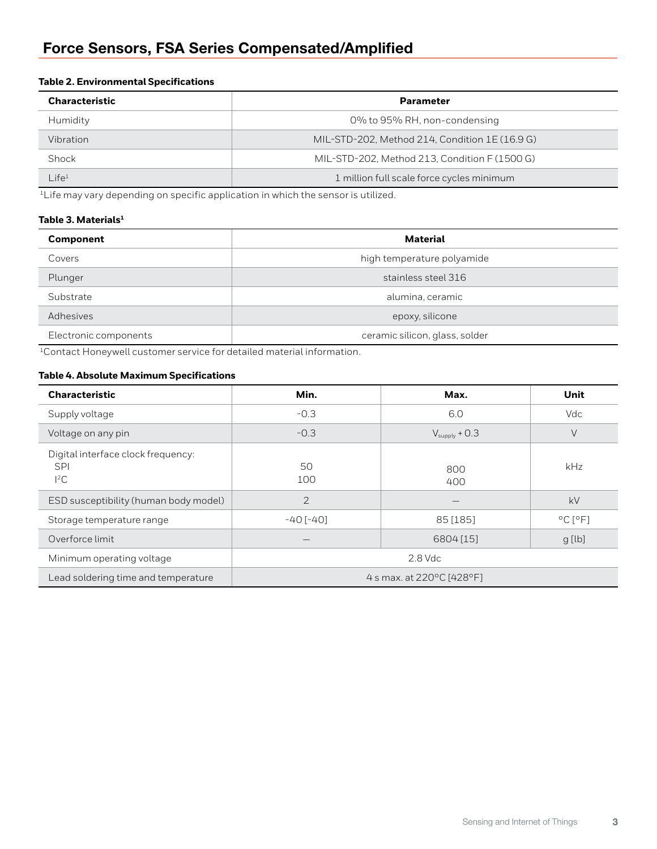# Force Sensors, FSA Series Compensated/Amplified

#### **Table 2. Environmental Specifications**

| <b>Characteristic</b> | <b>Parameter</b>                                |  |  |
|-----------------------|-------------------------------------------------|--|--|
| Humidity              | 0% to 95% RH, non-condensing                    |  |  |
| Vibration             | MIL-STD-202, Method 214, Condition $1E(16.9 G)$ |  |  |
| Shock                 | MIL-STD-202, Method 213, Condition F (1500 G)   |  |  |
| Life <sup>1</sup>     | 1 million full scale force cycles minimum       |  |  |

<sup>1</sup>Life may vary depending on specific application in which the sensor is utilized.

#### **Table 3. Materials1**

| Component             | <b>Material</b>                |  |  |
|-----------------------|--------------------------------|--|--|
| Covers                | high temperature polyamide     |  |  |
| Plunger               | stainless steel 316            |  |  |
| Substrate             | alumina, ceramic               |  |  |
| Adhesives             | epoxy, silicone                |  |  |
| Electronic components | ceramic silicon, glass, solder |  |  |

1Contact Honeywell customer service for detailed material information.

#### **Table 4. Absolute Maximum Specifications**

| <b>Characteristic</b>                                          | Min.                      | Max.                      | <b>Unit</b>                  |  |
|----------------------------------------------------------------|---------------------------|---------------------------|------------------------------|--|
| Supply voltage                                                 | $-0.3$                    | 6.0                       | Vdc                          |  |
| Voltage on any pin                                             | $-0.3$                    | $V_{\text{supply}} + 0.3$ | V                            |  |
| Digital interface clock frequency:<br><b>SPI</b><br>${}^{12}C$ | 50<br>100                 | 800<br>400                | kHz                          |  |
| ESD susceptibility (human body model)                          | 2                         |                           | kV                           |  |
| Storage temperature range                                      | $-40$ [ $-40$ ]           | 85 [185]                  | $^{\circ}$ C [ $^{\circ}$ F] |  |
| Overforce limit                                                |                           | 6804 [15]                 | $g$ [lb]                     |  |
| Minimum operating voltage                                      | $2.8$ Vdc                 |                           |                              |  |
| Lead soldering time and temperature                            | 4 s max. at 220°C [428°F] |                           |                              |  |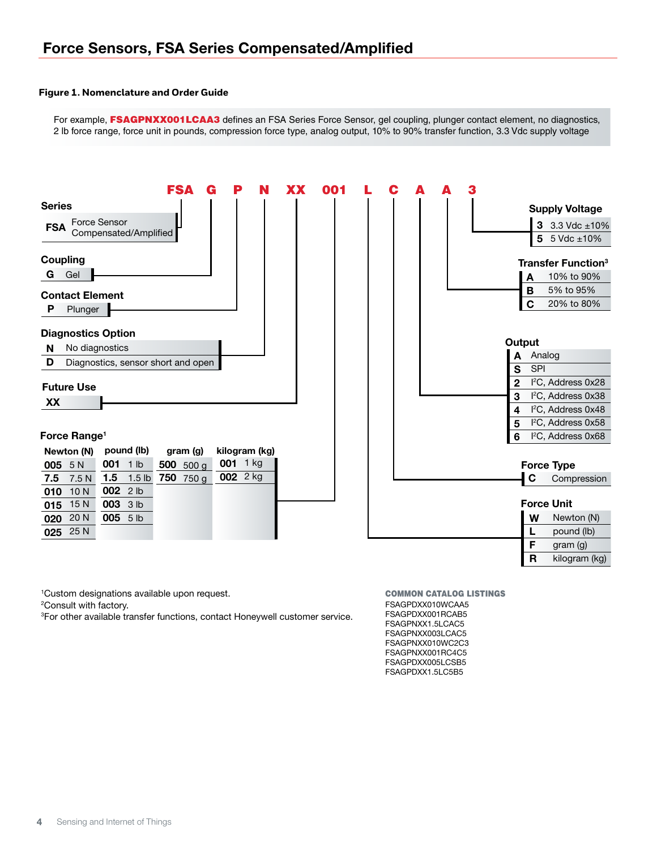#### **Figure 1. Nomenclature and Order Guide**

For example, FSAGPNXX001LCAA3 defines an FSA Series Force Sensor, gel coupling, plunger contact element, no diagnostics, 2 lb force range, force unit in pounds, compression force type, analog output, 10% to 90% transfer function, 3.3 Vdc supply voltage



1 Custom designations available upon request.

2 Consult with factory.

3 For other available transfer functions, contact Honeywell customer service.

FSAGPDXX010WCAA5 FSAGPDXX001RCAB5 FSAGPNXX1.5LCAC5 FSAGPNXX003LCAC5 FSAGPNXX010WC2C3 FSAGPNXX001RC4C5 FSAGPDXX005LCSB5 FSAGPDXX1.5LC5B5 COMMON CATALOG LISTINGS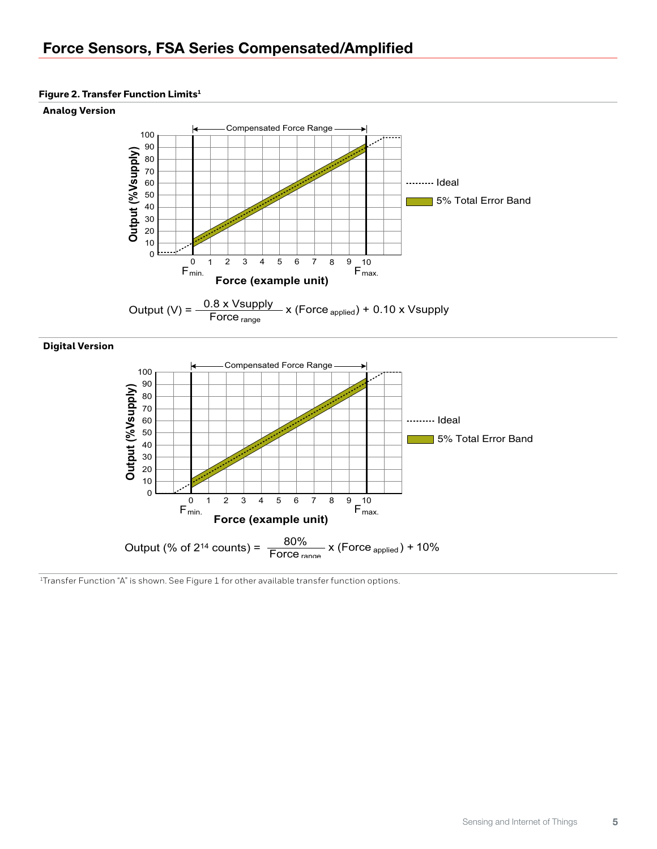#### **Figure 2. Transfer Function Limits1**

#### **Analog Version**





#### **Digital Version**



<sup>1</sup>Transfer Function "A" is shown. See Figure 1 for other available transfer function options.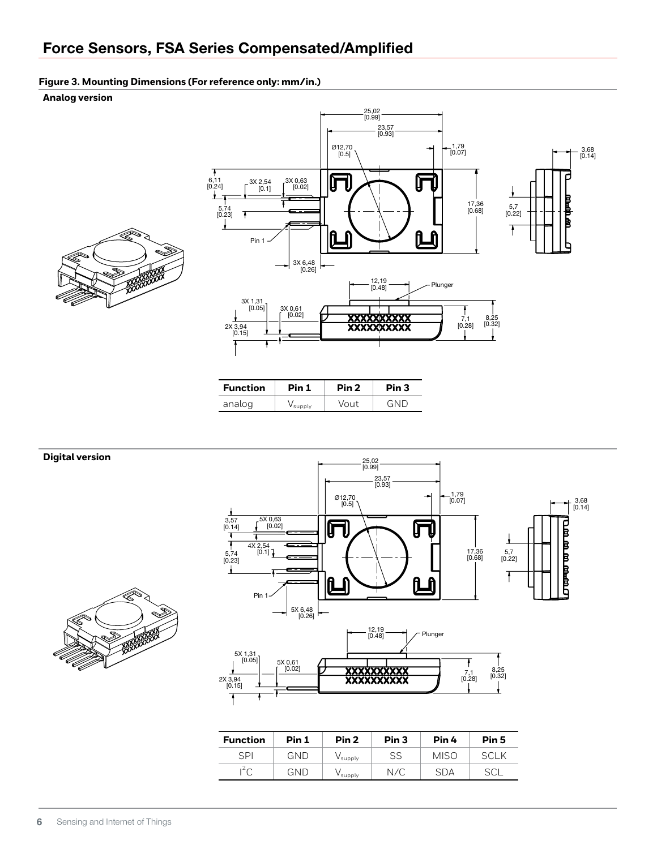## Force Sensors, FSA Series Compensated/Amplified

#### **Figure 3. Mounting Dimensions (For reference only: mm/in.)**

#### **Analog version**





| <b>Function</b> | Pin 1           | Pin <sub>2</sub> | Pin <sub>3</sub> |
|-----------------|-----------------|------------------|------------------|
| analog          | <b>V</b> supply | Vout             | GND              |



| <b>Function</b> | Pin 1 | Pin <sub>2</sub>    | Pin <sub>3</sub> | Pin 4       | Pin <sub>5</sub> |
|-----------------|-------|---------------------|------------------|-------------|------------------|
| <b>SPI</b>      | GND   | V <sub>supply</sub> | SS               | <b>MISO</b> | sci k            |
| $1^2C$          | GND   | supply              | N/C              | SDA         |                  |

**Digital version**